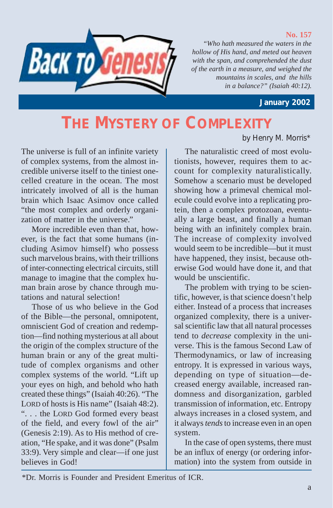

## **No. 157**

*"Who hath measured the waters in the hollow of His hand, and meted out heaven with the span, and comprehended the dust of the earth in a measure, and weighed the mountains in scales, and the hills in a balance?" (Isaiah 40:12).*

 **January 2002**

by Henry M. Morris\*

## **THE MYSTERY OF COMPLEXITY**

The universe is full of an infinite variety of complex systems, from the almost incredible universe itself to the tiniest onecelled creature in the ocean. The most intricately involved of all is the human brain which Isaac Asimov once called "the most complex and orderly organization of matter in the universe."

More incredible even than that, however, is the fact that some humans (including Asimov himself) who possess such marvelous brains, with their trillions of inter-connecting electrical circuits, still manage to imagine that the complex human brain arose by chance through mutations and natural selection!

Those of us who believe in the God of the Bible—the personal, omnipotent, omniscient God of creation and redemption—find nothing mysterious at all about the origin of the complex structure of the human brain or any of the great multitude of complex organisms and other complex systems of the world. "Lift up your eyes on high, and behold who hath created these things" (Isaiah 40:26). "The LORD of hosts is His name" (Isaiah 48:2). ". . . the LORD God formed every beast of the field, and every fowl of the air" (Genesis 2:19). As to His method of creation, "He spake, and it was done" (Psalm 33:9). Very simple and clear—if one just believes in God!

The naturalistic creed of most evolutionists, however, requires them to account for complexity naturalistically. Somehow a scenario must be developed showing how a primeval chemical molecule could evolve into a replicating protein, then a complex protozoan, eventually a large beast, and finally a human being with an infinitely complex brain. The increase of complexity involved would seem to be incredible—but it must have happened, they insist, because otherwise God would have done it, and that would be unscientific.

The problem with trying to be scientific, however, is that science doesn't help either. Instead of a process that increases organized complexity, there is a universal scientific law that all natural processes tend to *decrease* complexity in the universe. This is the famous Second Law of Thermodynamics, or law of increasing entropy. It is expressed in various ways, depending on type of situation—decreased energy available, increased randomness and disorganization, garbled transmission of information, etc. Entropy always increases in a closed system, and it always *tends* to increase even in an open system.

In the case of open systems, there must be an influx of energy (or ordering information) into the system from outside in

 <sup>\*</sup>Dr. Morris is Founder and President Emeritus of ICR.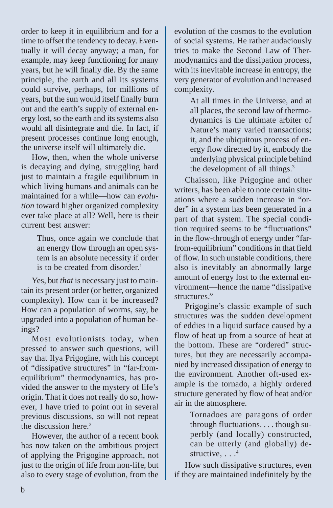order to keep it in equilibrium and for a time to offset the tendency to decay. Eventually it will decay anyway; a man, for example, may keep functioning for many years, but he will finally die. By the same principle, the earth and all its systems could survive, perhaps, for millions of years, but the sun would itself finally burn out and the earth's supply of external energy lost, so the earth and its systems also would all disintegrate and die. In fact, if present processes continue long enough, the universe itself will ultimately die.

How, then, when the whole universe is decaying and dying, struggling hard just to maintain a fragile equilibrium in which living humans and animals can be maintained for a while—how can *evolution* toward higher organized complexity ever take place at all? Well, here is their current best answer:

> Thus, once again we conclude that an energy flow through an open system is an absolute necessity if order is to be created from disorder.<sup>1</sup>

Yes, but *that* is necessary just to maintain its present order (or better, organized complexity). How can it be increased? How can a population of worms, say, be upgraded into a population of human beings?

Most evolutionists today, when pressed to answer such questions, will say that Ilya Prigogine, with his concept of "dissipative structures" in "far-fromequilibrium" thermodynamics, has provided the answer to the mystery of life's origin. That it does not really do so, however, I have tried to point out in several previous discussions, so will not repeat the discussion here.<sup>2</sup>

However, the author of a recent book has now taken on the ambitious project of applying the Prigogine approach, not just to the origin of life from non-life, but also to every stage of evolution, from the

evolution of the cosmos to the evolution of social systems. He rather audaciously tries to make the Second Law of Thermodynamics and the dissipation process, with its inevitable increase in entropy, the very generator of evolution and increased complexity.

> At all times in the Universe, and at all places, the second law of thermodynamics is the ultimate arbiter of Nature's many varied transactions; it, and the ubiquitous process of energy flow directed by it, embody the underlying physical principle behind the development of all things.<sup>3</sup>

Chaisson, like Prigogine and other writers, has been able to note certain situations where a sudden increase in "order" in a system has been generated in a part of that system. The special condition required seems to be "fluctuations" in the flow-through of energy under "farfrom-equilibrium" conditions in that field of flow. In such unstable conditions, there also is inevitably an abnormally large amount of energy lost to the external environment—hence the name "dissipative structures."

Prigogine's classic example of such structures was the sudden development of eddies in a liquid surface caused by a flow of heat up from a source of heat at the bottom. These are "ordered" structures, but they are necessarily accompanied by increased dissipation of energy to the environment. Another oft-used example is the tornado, a highly ordered structure generated by flow of heat and/or air in the atmosphere.

> Tornadoes are paragons of order through fluctuations. . . . though superbly (and locally) constructed, can be utterly (and globally) destructive...<sup>4</sup>

How such dissipative structures, even if they are maintained indefinitely by the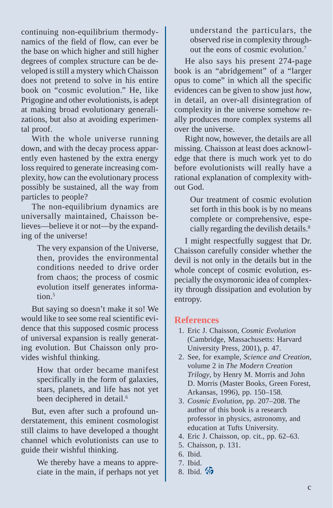continuing non-equilibrium thermodynamics of the field of flow, can ever be the base on which higher and still higher degrees of complex structure can be developed is still a mystery which Chaisson does not pretend to solve in his entire book on "cosmic evolution." He, like Prigogine and other evolutionists, is adept at making broad evolutionary generalizations, but also at avoiding experimental proof.

With the whole universe running down, and with the decay process apparently even hastened by the extra energy loss required to generate increasing complexity, how can the evolutionary process possibly be sustained, all the way from particles to people?

The non-equilibrium dynamics are universally maintained, Chaisson believes—believe it or not—by the expanding of the universe!

> The very expansion of the Universe, then, provides the environmental conditions needed to drive order from chaos; the process of cosmic evolution itself generates information $5$

But saying so doesn't make it so! We would like to see some real scientific evidence that this supposed cosmic process of universal expansion is really generating evolution. But Chaisson only provides wishful thinking.

> How that order became manifest specifically in the form of galaxies, stars, planets, and life has not yet been deciphered in detail.<sup>6</sup>

But, even after such a profound understatement, this eminent cosmologist still claims to have developed a thought channel which evolutionists can use to guide their wishful thinking.

> We thereby have a means to appreciate in the main, if perhaps not yet

understand the particulars, the observed rise in complexity throughout the eons of cosmic evolution.7

He also says his present 274-page book is an "abridgement" of a "larger opus to come" in which all the specific evidences can be given to show just *how*, in detail, an over-all disintegration of complexity in the universe somehow really produces more complex systems all over the universe.

Right now, however, the details are all missing. Chaisson at least does acknowledge that there is much work yet to do before evolutionists will really have a rational explanation of complexity without God.

> Our treatment of cosmic evolution set forth in this book is by no means complete or comprehensive, especially regarding the devilish details.<sup>8</sup>

I might respectfully suggest that Dr. Chaisson carefully consider whether the devil is not only in the details but in the whole concept of cosmic evolution, especially the oxymoronic idea of complexity through dissipation and evolution by entropy.

## **References**

- 1. Eric J. Chaisson, *Cosmic Evolution* (Cambridge, Massachusetts: Harvard University Press, 2001), p. 47.
- 2. See, for example, *Science and Creation*, volume 2 in *The Modern Creation Trilogy*, by Henry M. Morris and John D. Morris (Master Books, Green Forest, Arkansas, 1996), pp. 150–158.
- 3. *Cosmic Evolution*, pp. 207–208. The author of this book is a research professor in physics, astronomy, and education at Tufts University.
- 4. Eric J. Chaisson, op. cit., pp. 62–63.
- 5. Chaisson, p. 131.
- 6. Ibid.
- 7. Ibid.
- 8. Ibid. 4